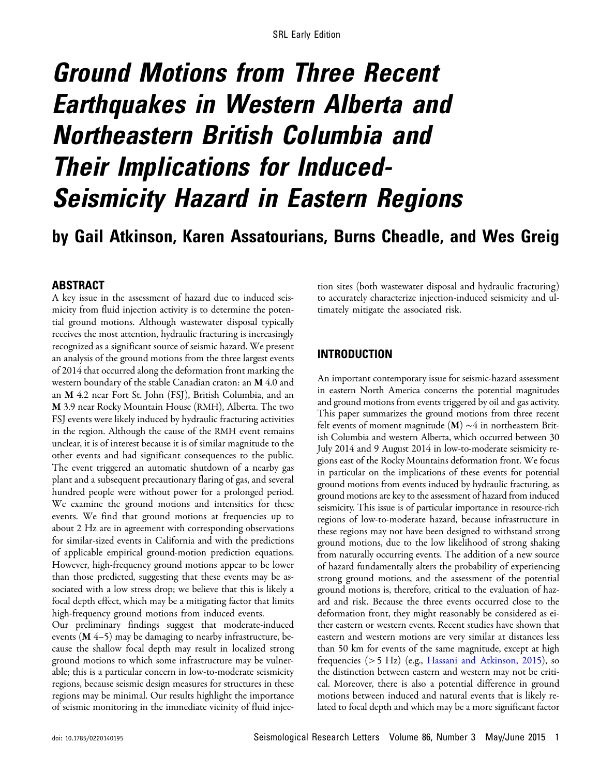SRL Early Edition

# Ground Motions from Three Recent Earthquakes in Western Alberta and Northeastern British Columbia and Their Implications for Induced-Seismicity Hazard in Eastern Regions

# by Gail Atkinson, Karen Assatourians, Burns Cheadle, and Wes Greig

# ABSTRACT

A key issue in the assessment of hazard due to induced seismicity from fluid injection activity is to determine the potential ground motions. Although wastewater disposal typically receives the most attention, hydraulic fracturing is increasingly recognized as a significant source of seismic hazard. We present an analysis of the ground motions from the three largest events of 2014 that occurred along the deformation front marking the western boundary of the stable Canadian craton: an M 4.0 and an M 4.2 near Fort St. John (FSJ), British Columbia, and an M 3.9 near Rocky Mountain House (RMH), Alberta. The two FSJ events were likely induced by hydraulic fracturing activities in the region. Although the cause of the RMH event remains unclear, it is of interest because it is of similar magnitude to the other events and had significant consequences to the public. The event triggered an automatic shutdown of a nearby gas plant and a subsequent precautionary flaring of gas, and several hundred people were without power for a prolonged period. We examine the ground motions and intensities for these events. We find that ground motions at frequencies up to about 2 Hz are in agreement with corresponding observations for similar-sized events in California and with the predictions of applicable empirical ground-motion prediction equations. However, high-frequency ground motions appear to be lower than those predicted, suggesting that these events may be associated with a low stress drop; we believe that this is likely a focal depth effect, which may be a mitigating factor that limits high-frequency ground motions from induced events.

Our preliminary findings suggest that moderate-induced events  $(M 4-5)$  may be damaging to nearby infrastructure, because the shallow focal depth may result in localized strong ground motions to which some infrastructure may be vulnerable; this is a particular concern in low-to-moderate seismicity regions, because seismic design measures for structures in these regions may be minimal. Our results highlight the importance of seismic monitoring in the immediate vicinity of fluid injection sites (both wastewater disposal and hydraulic fracturing) to accurately characterize injection-induced seismicity and ultimately mitigate the associated risk.

# INTRODUCTION

An important contemporary issue for seismic-hazard assessment in eastern North America concerns the potential magnitudes and ground motions from events triggered by oil and gas activity. This paper summarizes the ground motions from three recent felt events of moment magnitude  $(M) \sim 4$  in northeastern British Columbia and western Alberta, which occurred between 30 July 2014 and 9 August 2014 in low-to-moderate seismicity regions east of the Rocky Mountains deformation front. We focus in particular on the implications of these events for potential ground motions from events induced by hydraulic fracturing, as ground motions are key to the assessment of hazard from induced seismicity. This issue is of particular importance in resource-rich regions of low-to-moderate hazard, because infrastructure in these regions may not have been designed to withstand strong ground motions, due to the low likelihood of strong shaking from naturally occurring events. The addition of a new source of hazard fundamentally alters the probability of experiencing strong ground motions, and the assessment of the potential ground motions is, therefore, critical to the evaluation of hazard and risk. Because the three events occurred close to the deformation front, they might reasonably be considered as either eastern or western events. Recent studies have shown that eastern and western motions are very similar at distances less than 50 km for events of the same magnitude, except at high frequencies (>5 Hz) (e.g., [Hassani and Atkinson, 2015](#page-9-0)), so the distinction between eastern and western may not be critical. Moreover, there is also a potential difference in ground motions between induced and natural events that is likely related to focal depth and which may be a more significant factor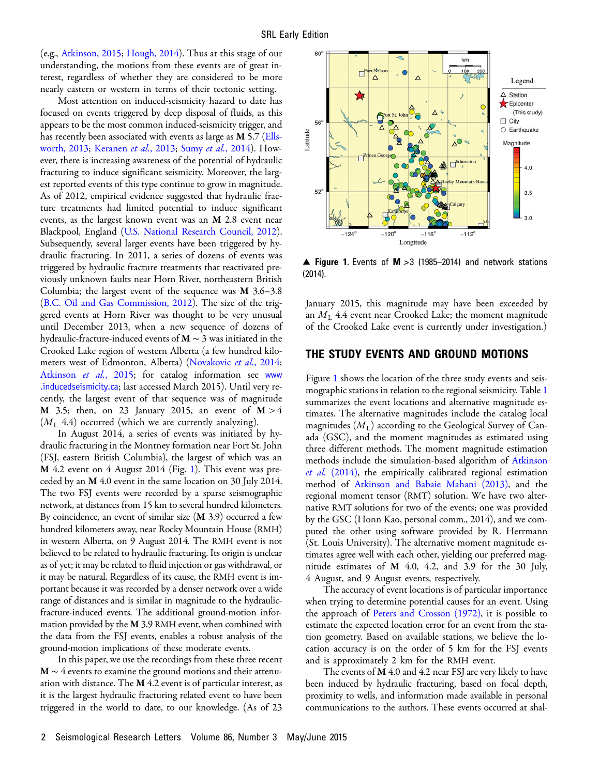(e.g., [Atkinson, 2015;](#page-9-1) [Hough, 2014\)](#page-9-2). Thus at this stage of our understanding, the motions from these events are of great interest, regardless of whether they are considered to be more nearly eastern or western in terms of their tectonic setting.

Most attention on induced-seismicity hazard to date has focused on events triggered by deep disposal of fluids, as this appears to be the most common induced-seismicity trigger, and has recently been associated with events as large as **M** 5.7 ([Ells](#page-9-3)[worth, 2013](#page-9-3); [Keranen](#page-9-4) et al., 2013; Sumy et al.[, 2014\)](#page-9-5). However, there is increasing awareness of the potential of hydraulic fracturing to induce significant seismicity. Moreover, the largest reported events of this type continue to grow in magnitude. As of 2012, empirical evidence suggested that hydraulic fracture treatments had limited potential to induce significant events, as the largest known event was an M 2.8 event near Blackpool, England ([U.S. National Research Council, 2012](#page-9-6)). Subsequently, several larger events have been triggered by hydraulic fracturing. In 2011, a series of dozens of events was triggered by hydraulic fracture treatments that reactivated previously unknown faults near Horn River, northeastern British Columbia; the largest event of the sequence was M 3.6–3.8 ([B.C. Oil and Gas Commission, 2012](#page-9-7)). The size of the triggered events at Horn River was thought to be very unusual until December 2013, when a new sequence of dozens of hydraulic-fracture-induced events of  $M \sim 3$  was initiated in the Crooked Lake region of western Alberta (a few hundred kilo-meters west of Edmonton, Alberta) [\(Novakovic](#page-9-8) et al., 2014; [Atkinson](#page-9-9) et al., 2015; for catalog information see [www](http://www.inducedseismicity.ca) [.inducedseismicity.ca](http://www.inducedseismicity.ca); last accessed March 2015). Until very recently, the largest event of that sequence was of magnitude **M** 3.5; then, on 23 January 2015, an event of  $M > 4$  $(M_L 4.4)$  occurred (which we are currently analyzing).

In August 2014, a series of events was initiated by hydraulic fracturing in the Montney formation near Fort St. John (FSJ, eastern British Columbia), the largest of which was an  $M$  4.2 event on 4 August 2014 (Fig. [1\)](#page-1-0). This event was preceded by an M 4.0 event in the same location on 30 July 2014. The two FSJ events were recorded by a sparse seismographic network, at distances from 15 km to several hundred kilometers. By coincidence, an event of similar size  $(M 3.9)$  occurred a few hundred kilometers away, near Rocky Mountain House (RMH) in western Alberta, on 9 August 2014. The RMH event is not believed to be related to hydraulic fracturing. Its origin is unclear as of yet; it may be related to fluid injection or gas withdrawal, or it may be natural. Regardless of its cause, the RMH event is important because it was recorded by a denser network over a wide range of distances and is similar in magnitude to the hydraulicfracture-induced events. The additional ground-motion information provided by the M 3.9 RMH event, when combined with the data from the FSJ events, enables a robust analysis of the ground-motion implications of these moderate events.

In this paper, we use the recordings from these three recent M ∼ 4 events to examine the ground motions and their attenuation with distance. The M 4.2 event is of particular interest, as it is the largest hydraulic fracturing related event to have been triggered in the world to date, to our knowledge. (As of 23

<span id="page-1-0"></span>

▲ Figure 1. Events of M > 3 (1985–2014) and network stations (2014).

January 2015, this magnitude may have been exceeded by an  $M_L$  4.4 event near Crooked Lake; the moment magnitude of the Crooked Lake event is currently under investigation.)

## THE STUDY EVENTS AND GROUND MOTIONS

Figure [1](#page-1-0) shows the location of the three study events and seismographic stations in relation to the regional seismicity. Table [1](#page-2-0) summarizes the event locations and alternative magnitude estimates. The alternative magnitudes include the catalog local magnitudes  $(M<sub>L</sub>)$  according to the Geological Survey of Canada (GSC), and the moment magnitudes as estimated using three different methods. The moment magnitude estimation methods include the simulation-based algorithm of [Atkinson](#page-9-10)  $et$  al. [\(2014\)](#page-9-10), the empirically calibrated regional estimation method of [Atkinson and Babaie Mahani \(2013\),](#page-9-11) and the regional moment tensor (RMT) solution. We have two alternative RMT solutions for two of the events; one was provided by the GSC (Honn Kao, personal comm., 2014), and we computed the other using software provided by R. Herrmann (St. Louis University). The alternative moment magnitude estimates agree well with each other, yielding our preferred magnitude estimates of M 4.0, 4.2, and 3.9 for the 30 July, 4 August, and 9 August events, respectively.

The accuracy of event locations is of particular importance when trying to determine potential causes for an event. Using the approach of [Peters and Crosson \(1972\),](#page-9-12) it is possible to estimate the expected location error for an event from the station geometry. Based on available stations, we believe the location accuracy is on the order of 5 km for the FSJ events and is approximately 2 km for the RMH event.

The events of  $M$  4.0 and 4.2 near FSJ are very likely to have been induced by hydraulic fracturing, based on focal depth, proximity to wells, and information made available in personal communications to the authors. These events occurred at shal-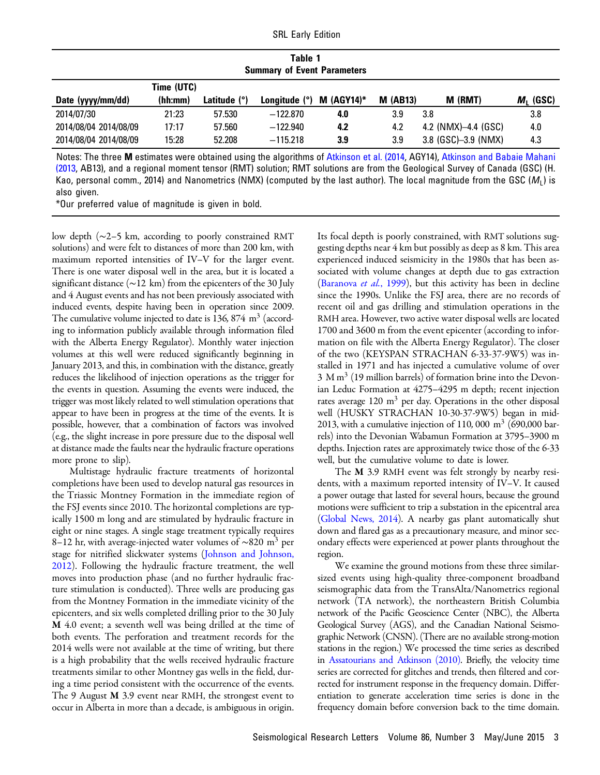SRL Early Edition

<span id="page-2-0"></span>

| Table 1<br><b>Summary of Event Parameters</b>                                                                                |            |                |                 |               |                 |                     |            |
|------------------------------------------------------------------------------------------------------------------------------|------------|----------------|-----------------|---------------|-----------------|---------------------|------------|
|                                                                                                                              | Time (UTC) |                |                 |               |                 |                     |            |
| Date (yyyy/mm/dd)                                                                                                            | (hh:mm)    | Latitude $(°)$ | Longitude $(°)$ | M $(AGY14)^*$ | <b>M (AB13)</b> | M (RMT)             | $ML$ (GSC) |
| 2014/07/30                                                                                                                   | 21:23      | 57.530         | $-122.870$      | 4.0           | 3.9             | 3.8                 | 3.8        |
| 2014/08/04 2014/08/09                                                                                                        | 17:17      | 57.560         | $-122.940$      | 4.2           | 4.2             | 4.2 (NMX)-4.4 (GSC) | 4.0        |
| 2014/08/04 2014/08/09                                                                                                        | 15:28      | 52.208         | $-115.218$      | 3.9           | 3.9             | 3.8 (GSC)-3.9 (NMX) | 4.3        |
| Netter The three Microsoft correspondence of company of the continue of Athlesia and 10044 ACV44) Athlesia and Debate Mahami |            |                |                 |               |                 |                     |            |

Notes: The three M estimates were obtained using the algorithms of [Atkinson et al. \(2014](#page-9-10), AGY14), [Atkinson and Babaie Mahani](#page-9-11) [\(2013](#page-9-11), AB13), and a regional moment tensor (RMT) solution; RMT solutions are from the Geological Survey of Canada (GSC) (H. Kao, personal comm., 2014) and Nanometrics (NMX) (computed by the last author). The local magnitude from the GSC ( $M<sub>1</sub>$ ) is also given.

\*Our preferred value of magnitude is given in bold.

low depth (∼2–5 km, according to poorly constrained RMT solutions) and were felt to distances of more than 200 km, with maximum reported intensities of IV–V for the larger event. There is one water disposal well in the area, but it is located a significant distance (∼12 km) from the epicenters of the 30 July and 4 August events and has not been previously associated with induced events, despite having been in operation since 2009. The cumulative volume injected to date is  $136,874 \text{ m}^3$  (according to information publicly available through information filed with the Alberta Energy Regulator). Monthly water injection volumes at this well were reduced significantly beginning in January 2013, and this, in combination with the distance, greatly reduces the likelihood of injection operations as the trigger for the events in question. Assuming the events were induced, the trigger was most likely related to well stimulation operations that appear to have been in progress at the time of the events. It is possible, however, that a combination of factors was involved (e.g., the slight increase in pore pressure due to the disposal well at distance made the faults near the hydraulic fracture operations more prone to slip).

Multistage hydraulic fracture treatments of horizontal completions have been used to develop natural gas resources in the Triassic Montney Formation in the immediate region of the FSJ events since 2010. The horizontal completions are typically 1500 m long and are stimulated by hydraulic fracture in eight or nine stages. A single stage treatment typically requires 8–12 hr, with average-injected water volumes of ~820 m<sup>3</sup> per stage for nitrified slickwater systems ([Johnson and Johnson,](#page-9-13) [2012](#page-9-13)). Following the hydraulic fracture treatment, the well moves into production phase (and no further hydraulic fracture stimulation is conducted). Three wells are producing gas from the Montney Formation in the immediate vicinity of the epicenters, and six wells completed drilling prior to the 30 July M 4.0 event; a seventh well was being drilled at the time of both events. The perforation and treatment records for the 2014 wells were not available at the time of writing, but there is a high probability that the wells received hydraulic fracture treatments similar to other Montney gas wells in the field, during a time period consistent with the occurrence of the events. The 9 August M 3.9 event near RMH, the strongest event to occur in Alberta in more than a decade, is ambiguous in origin.

Its focal depth is poorly constrained, with RMT solutions suggesting depths near 4 km but possibly as deep as 8 km. This area experienced induced seismicity in the 1980s that has been associated with volume changes at depth due to gas extraction ([Baranova](#page-9-14) *et al.*, 1999), but this activity has been in decline since the 1990s. Unlike the FSJ area, there are no records of recent oil and gas drilling and stimulation operations in the RMH area. However, two active water disposal wells are located 1700 and 3600 m from the event epicenter (according to information on file with the Alberta Energy Regulator). The closer of the two (KEYSPAN STRACHAN 6-33-37-9W5) was installed in 1971 and has injected a cumulative volume of over  $3 \text{ M m}^3$  (19 million barrels) of formation brine into the Devonian Leduc Formation at 4275–4295 m depth; recent injection rates average  $120 \text{ m}^3$  per day. Operations in the other disposal well (HUSKY STRACHAN 10-30-37-9W5) began in mid-2013, with a cumulative injection of 110, 000  $\mathrm{m}^3$  (690,000 barrels) into the Devonian Wabamun Formation at 3795–3900 m depths. Injection rates are approximately twice those of the 6-33 well, but the cumulative volume to date is lower.

The **M** 3.9 RMH event was felt strongly by nearby residents, with a maximum reported intensity of IV–V. It caused a power outage that lasted for several hours, because the ground motions were sufficient to trip a substation in the epicentral area [\(Global News, 2014](#page-9-15)). A nearby gas plant automatically shut down and flared gas as a precautionary measure, and minor secondary effects were experienced at power plants throughout the region.

We examine the ground motions from these three similarsized events using high-quality three-component broadband seismographic data from the TransAlta/Nanometrics regional network (TA network), the northeastern British Columbia network of the Pacific Geoscience Center (NBC), the Alberta Geological Survey (AGS), and the Canadian National Seismographic Network (CNSN). (There are no available strong-motion stations in the region.) We processed the time series as described in [Assatourians and Atkinson \(2010\)](#page-8-0). Briefly, the velocity time series are corrected for glitches and trends, then filtered and corrected for instrument response in the frequency domain. Differentiation to generate acceleration time series is done in the frequency domain before conversion back to the time domain.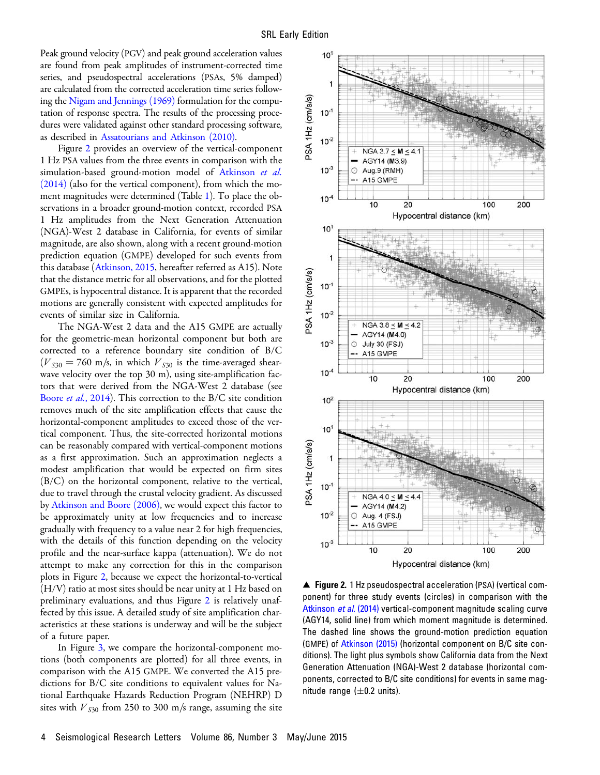Peak ground velocity (PGV) and peak ground acceleration values are found from peak amplitudes of instrument-corrected time series, and pseudospectral accelerations (PSAs, 5% damped) are calculated from the corrected acceleration time series following the [Nigam and Jennings \(1969\)](#page-9-16) formulation for the computation of response spectra. The results of the processing procedures were validated against other standard processing software, as described in [Assatourians and Atkinson \(2010\).](#page-8-0)

Figure [2](#page-3-0) provides an overview of the vertical-component 1 Hz PSA values from the three events in comparison with the simulation-based ground-motion model of [Atkinson](#page-9-10) et al. [\(2014\)](#page-9-10) (also for the vertical component), from which the moment magnitudes were determined (Table [1\)](#page-2-0). To place the observations in a broader ground-motion context, recorded PSA 1 Hz amplitudes from the Next Generation Attenuation (NGA)-West 2 database in California, for events of similar magnitude, are also shown, along with a recent ground-motion prediction equation (GMPE) developed for such events from this database ([Atkinson, 2015,](#page-9-1) hereafter referred as A15). Note that the distance metric for all observations, and for the plotted GMPEs, is hypocentral distance. It is apparent that the recorded motions are generally consistent with expected amplitudes for events of similar size in California.

The NGA-West 2 data and the A15 GMPE are actually for the geometric-mean horizontal component but both are corrected to a reference boundary site condition of B/C  $(V_{S30} = 760 \text{ m/s, in which } V_{S30}$  is the time-averaged shearwave velocity over the top 30 m), using site-amplification factors that were derived from the NGA-West 2 database (see Boore et al.[, 2014](#page-9-17)). This correction to the B/C site condition removes much of the site amplification effects that cause the horizontal-component amplitudes to exceed those of the vertical component. Thus, the site-corrected horizontal motions can be reasonably compared with vertical-component motions as a first approximation. Such an approximation neglects a modest amplification that would be expected on firm sites (B/C) on the horizontal component, relative to the vertical, due to travel through the crustal velocity gradient. As discussed by [Atkinson and Boore \(2006\)](#page-9-18), we would expect this factor to be approximately unity at low frequencies and to increase gradually with frequency to a value near 2 for high frequencies, with the details of this function depending on the velocity profile and the near-surface kappa (attenuation). We do not attempt to make any correction for this in the comparison plots in Figure [2,](#page-3-0) because we expect the horizontal-to-vertical (H/V) ratio at most sites should be near unity at 1 Hz based on preliminary evaluations, and thus Figure [2](#page-3-0) is relatively unaffected by this issue. A detailed study of site amplification characteristics at these stations is underway and will be the subject of a future paper.

In Figure [3](#page-4-0), we compare the horizontal-component motions (both components are plotted) for all three events, in comparison with the A15 GMPE. We converted the A15 predictions for B/C site conditions to equivalent values for National Earthquake Hazards Reduction Program (NEHRP) D sites with  $V_{S30}$  from 250 to 300 m/s range, assuming the site

<span id="page-3-0"></span>

▲ Figure 2. 1 Hz pseudospectral acceleration (PSA) (vertical component) for three study events (circles) in comparison with the [Atkinson](#page-9-10) et al. (2014) vertical-component magnitude scaling curve (AGY14, solid line) from which moment magnitude is determined. The dashed line shows the ground-motion prediction equation (GMPE) of [Atkinson \(2015\)](#page-9-1) (horizontal component on B/C site conditions). The light plus symbols show California data from the Next Generation Attenuation (NGA)-West 2 database (horizontal components, corrected to B/C site conditions) for events in same magnitude range  $(\pm 0.2 \text{ units})$ .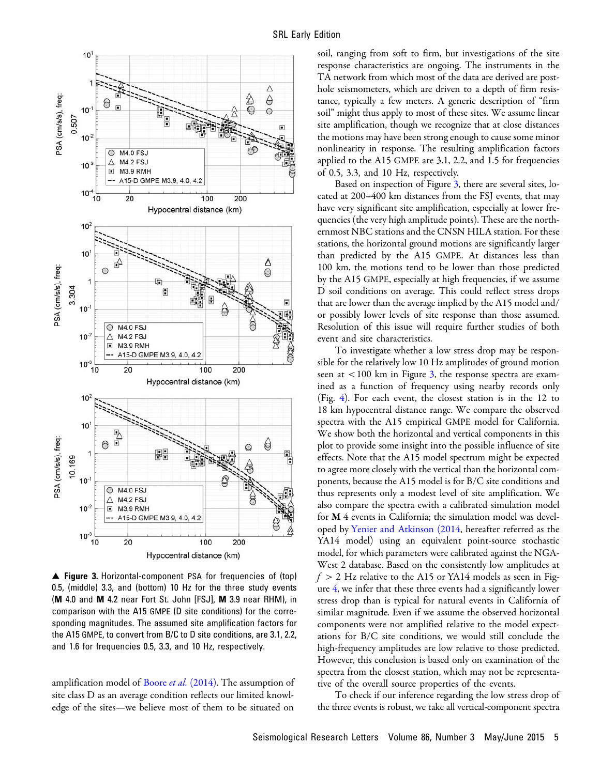<span id="page-4-0"></span>

▲ Figure 3. Horizontal-component PSA for frequencies of (top) 0.5, (middle) 3.3, and (bottom) 10 Hz for the three study events (M 4.0 and M 4.2 near Fort St. John [FSJ], M 3.9 near RHM), in comparison with the A15 GMPE (D site conditions) for the corresponding magnitudes. The assumed site amplification factors for the A15 GMPE, to convert from B/C to D site conditions, are 3.1, 2.2, and 1.6 for frequencies 0.5, 3.3, and 10 Hz, respectively.

amplification model of Boore et al. [\(2014\).](#page-9-17) The assumption of site class D as an average condition reflects our limited knowledge of the sites—we believe most of them to be situated on

soil, ranging from soft to firm, but investigations of the site response characteristics are ongoing. The instruments in the TA network from which most of the data are derived are posthole seismometers, which are driven to a depth of firm resistance, typically a few meters. A generic description of "firm soil" might thus apply to most of these sites. We assume linear site amplification, though we recognize that at close distances the motions may have been strong enough to cause some minor nonlinearity in response. The resulting amplification factors applied to the A15 GMPE are 3.1, 2.2, and 1.5 for frequencies of 0.5, 3.3, and 10 Hz, respectively.

Based on inspection of Figure [3](#page-4-0), there are several sites, located at 200–400 km distances from the FSJ events, that may have very significant site amplification, especially at lower frequencies (the very high amplitude points). These are the northernmost NBC stations and the CNSN HILA station. For these stations, the horizontal ground motions are significantly larger than predicted by the A15 GMPE. At distances less than 100 km, the motions tend to be lower than those predicted by the A15 GMPE, especially at high frequencies, if we assume D soil conditions on average. This could reflect stress drops that are lower than the average implied by the A15 model and/ or possibly lower levels of site response than those assumed. Resolution of this issue will require further studies of both event and site characteristics.

To investigate whether a low stress drop may be responsible for the relatively low 10 Hz amplitudes of ground motion seen at  $<$ 100 km in Figure [3](#page-4-0), the response spectra are examined as a function of frequency using nearby records only (Fig. [4](#page-5-0)). For each event, the closest station is in the 12 to 18 km hypocentral distance range. We compare the observed spectra with the A15 empirical GMPE model for California. We show both the horizontal and vertical components in this plot to provide some insight into the possible influence of site effects. Note that the A15 model spectrum might be expected to agree more closely with the vertical than the horizontal components, because the A15 model is for B/C site conditions and thus represents only a modest level of site amplification. We also compare the spectra ewith a calibrated simulation model for M 4 events in California; the simulation model was developed by [Yenier and Atkinson \(2014,](#page-9-19) hereafter referred as the YA14 model) using an equivalent point-source stochastic model, for which parameters were calibrated against the NGA-West 2 database. Based on the consistently low amplitudes at  $f > 2$  Hz relative to the A15 or YA14 models as seen in Figure [4](#page-5-0), we infer that these three events had a significantly lower stress drop than is typical for natural events in California of similar magnitude. Even if we assume the observed horizontal components were not amplified relative to the model expectations for B/C site conditions, we would still conclude the high-frequency amplitudes are low relative to those predicted. However, this conclusion is based only on examination of the spectra from the closest station, which may not be representative of the overall source properties of the events.

To check if our inference regarding the low stress drop of the three events is robust, we take all vertical-component spectra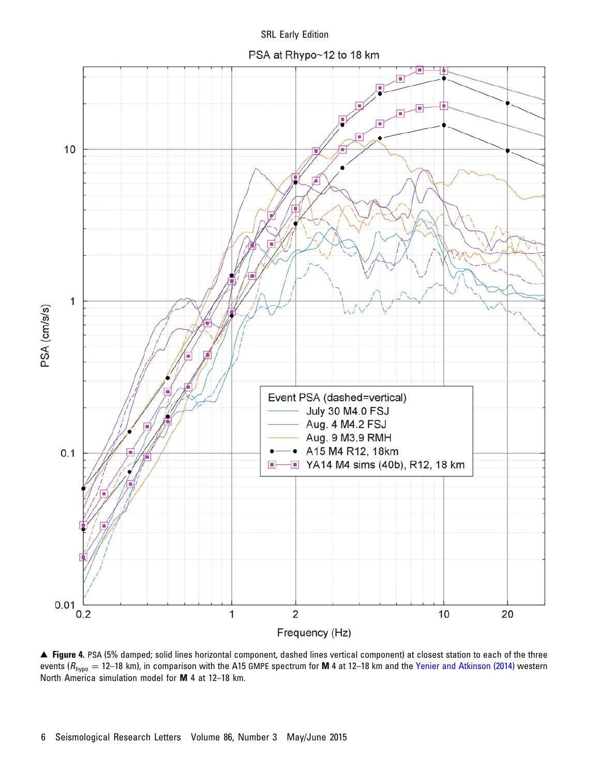#### SRL Early Edition

PSA at Rhypo~12 to 18 km

<span id="page-5-0"></span>

▲ Figure 4. PSA (5% damped; solid lines horizontal component, dashed lines vertical component) at closest station to each of the three events ( $R_{\text{hypo}} = 12-18$  km), in comparison with the A15 GMPE spectrum for M 4 at 12-18 km and the [Yenier and Atkinson \(2014\)](#page-9-19) western North America simulation model for M 4 at 12–18 km.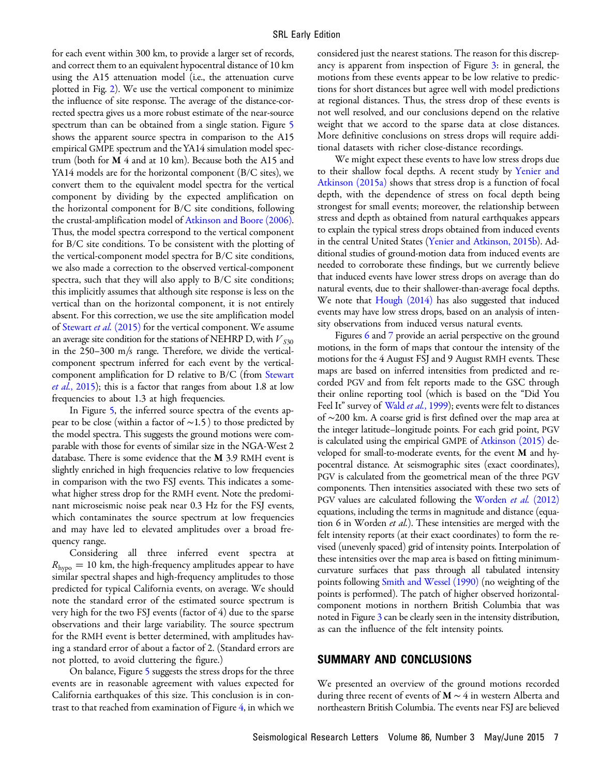for each event within 300 km, to provide a larger set of records, and correct them to an equivalent hypocentral distance of 10 km using the A15 attenuation model (i.e., the attenuation curve plotted in Fig. [2](#page-3-0)). We use the vertical component to minimize the influence of site response. The average of the distance-corrected spectra gives us a more robust estimate of the near-source spectrum than can be obtained from a single station. Figure [5](#page-7-0) shows the apparent source spectra in comparison to the A15 empirical GMPE spectrum and the YA14 simulation model spectrum (both for M 4 and at 10 km). Because both the A15 and YA14 models are for the horizontal component (B/C sites), we convert them to the equivalent model spectra for the vertical component by dividing by the expected amplification on the horizontal component for B/C site conditions, following the crustal-amplification model of [Atkinson and Boore \(2006\).](#page-9-18) Thus, the model spectra correspond to the vertical component for B/C site conditions. To be consistent with the plotting of the vertical-component model spectra for B/C site conditions, we also made a correction to the observed vertical-component spectra, such that they will also apply to B/C site conditions; this implicitly assumes that although site response is less on the vertical than on the horizontal component, it is not entirely absent. For this correction, we use the site amplification model of [Stewart](#page-9-20) et al. (2015) for the vertical component. We assume an average site condition for the stations of NEHRP D, with  $V_{S30}$ in the  $250-300$  m/s range. Therefore, we divide the verticalcomponent spectrum inferred for each event by the verticalcomponent amplification for D relative to B/C (from [Stewart](#page-9-20) et al.[, 2015](#page-9-20)); this is a factor that ranges from about 1.8 at low frequencies to about 1.3 at high frequencies.

In Figure [5,](#page-7-0) the inferred source spectra of the events appear to be close (within a factor of ∼1:5 ) to those predicted by the model spectra. This suggests the ground motions were comparable with those for events of similar size in the NGA-West 2 database. There is some evidence that the  $M$  3.9 RMH event is slightly enriched in high frequencies relative to low frequencies in comparison with the two FSJ events. This indicates a somewhat higher stress drop for the RMH event. Note the predominant microseismic noise peak near 0.3 Hz for the FSJ events, which contaminates the source spectrum at low frequencies and may have led to elevated amplitudes over a broad frequency range.

Considering all three inferred event spectra at  $R_{\text{hypo}} = 10$  km, the high-frequency amplitudes appear to have similar spectral shapes and high-frequency amplitudes to those predicted for typical California events, on average. We should note the standard error of the estimated source spectrum is very high for the two FSJ events (factor of 4) due to the sparse observations and their large variability. The source spectrum for the RMH event is better determined, with amplitudes having a standard error of about a factor of 2. (Standard errors are not plotted, to avoid cluttering the figure.)

On balance, Figure [5](#page-7-0) suggests the stress drops for the three events are in reasonable agreement with values expected for California earthquakes of this size. This conclusion is in contrast to that reached from examination of Figure  $4$ , in which we considered just the nearest stations. The reason for this discrepancy is apparent from inspection of Figure  $3$ : in general, the motions from these events appear to be low relative to predictions for short distances but agree well with model predictions at regional distances. Thus, the stress drop of these events is not well resolved, and our conclusions depend on the relative weight that we accord to the sparse data at close distances. More definitive conclusions on stress drops will require additional datasets with richer close-distance recordings.

We might expect these events to have low stress drops due to their shallow focal depths. A recent study by [Yenier and](#page-9-21) [Atkinson \(2015a\)](#page-9-21) shows that stress drop is a function of focal depth, with the dependence of stress on focal depth being strongest for small events; moreover, the relationship between stress and depth as obtained from natural earthquakes appears to explain the typical stress drops obtained from induced events in the central United States [\(Yenier and Atkinson, 2015b](#page-9-22)). Additional studies of ground-motion data from induced events are needed to corroborate these findings, but we currently believe that induced events have lower stress drops on average than do natural events, due to their shallower-than-average focal depths. We note that [Hough \(2014\)](#page-9-2) has also suggested that induced events may have low stress drops, based on an analysis of intensity observations from induced versus natural events.

Figures [6](#page-8-1) and [7](#page-8-2) provide an aerial perspective on the ground motions, in the form of maps that contour the intensity of the motions for the 4 August FSJ and 9 August RMH events. These maps are based on inferred intensities from predicted and recorded PGV and from felt reports made to the GSC through their online reporting tool (which is based on the "Did You Feel It" survey of Wald et al.[, 1999](#page-9-23)); events were felt to distances of ∼200 km. A coarse grid is first defined over the map area at the integer latitude–longitude points. For each grid point, PGV is calculated using the empirical GMPE of [Atkinson \(2015\)](#page-9-1) developed for small-to-moderate events, for the event  $M$  and hypocentral distance. At seismographic sites (exact coordinates), PGV is calculated from the geometrical mean of the three PGV components. Then intensities associated with these two sets of PGV values are calculated following the [Worden](#page-9-24) et al. (2012) equations, including the terms in magnitude and distance (equation 6 in Worden *et al.*). These intensities are merged with the felt intensity reports (at their exact coordinates) to form the revised (unevenly spaced) grid of intensity points. Interpolation of these intensities over the map area is based on fitting minimumcurvature surfaces that pass through all tabulated intensity points following [Smith and Wessel \(1990\)](#page-9-25) (no weighting of the points is performed). The patch of higher observed horizontalcomponent motions in northern British Columbia that was noted in Figure [3](#page-4-0) can be clearly seen in the intensity distribution, as can the influence of the felt intensity points.

# SUMMARY AND CONCLUSIONS

We presented an overview of the ground motions recorded during three recent of events of  $M \sim 4$  in western Alberta and northeastern British Columbia. The events near FSJ are believed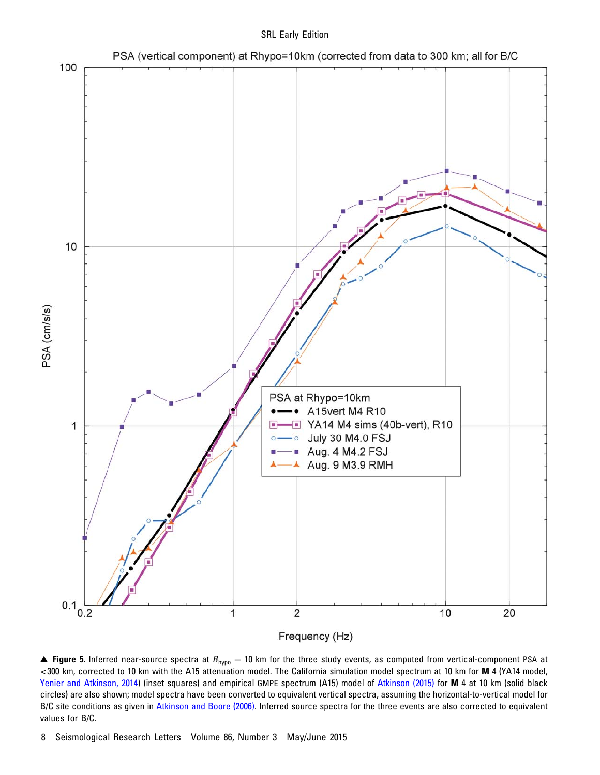#### SRL Early Edition

<span id="page-7-0"></span>

▲ Figure 5. Inferred near-source spectra at  $R_{\text{hypo}}=10$  km for the three study events, as computed from vertical-component PSA at < 300 km, corrected to 10 km with the A15 attenuation model. The California simulation model spectrum at 10 km for M 4 (YA14 model, [Yenier and Atkinson, 2014\)](#page-9-19) (inset squares) and empirical GMPE spectrum (A15) model of [Atkinson \(2015\)](#page-9-1) for M 4 at 10 km (solid black circles) are also shown; model spectra have been converted to equivalent vertical spectra, assuming the horizontal-to-vertical model for B/C site conditions as given in [Atkinson and Boore \(2006\).](#page-9-18) Inferred source spectra for the three events are also corrected to equivalent values for B/C.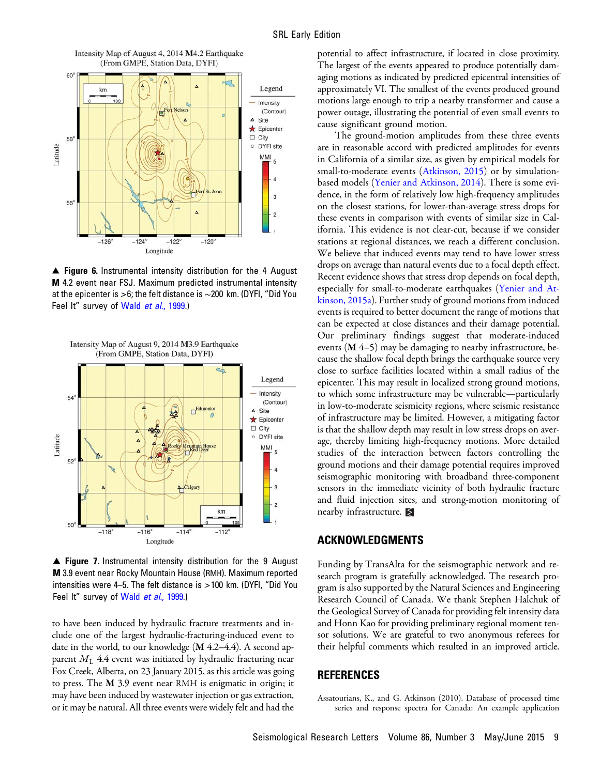<span id="page-8-1"></span>

▲ Figure 6. Instrumental intensity distribution for the 4 August M 4.2 event near FSJ. Maximum predicted instrumental intensity at the epicenter is >6; the felt distance is ∼200 km. (DYFI, "Did You Feel It" survey of Wald et al.[, 1999.](#page-9-23))

<span id="page-8-2"></span>Intensity Map of August 9, 2014 M3.9 Earthquake (From GMPE, Station Data, DYFI)



▲ Figure 7. Instrumental intensity distribution for the 9 August M 3.9 event near Rocky Mountain House (RMH). Maximum reported intensities were 4–5. The felt distance is >100 km. (DYFI, "Did You Feel It" survey of Wald et al.[, 1999.](#page-9-23))

to have been induced by hydraulic fracture treatments and include one of the largest hydraulic-fracturing-induced event to date in the world, to our knowledge  $(M 4.2–4.4)$ . A second apparent  $M_L$  4.4 event was initiated by hydraulic fracturing near Fox Creek, Alberta, on 23 January 2015, as this article was going to press. The M 3.9 event near RMH is enigmatic in origin; it may have been induced by wastewater injection or gas extraction, or it may be natural. All three events were widely felt and had the

potential to affect infrastructure, if located in close proximity. The largest of the events appeared to produce potentially damaging motions as indicated by predicted epicentral intensities of approximately VI. The smallest of the events produced ground motions large enough to trip a nearby transformer and cause a power outage, illustrating the potential of even small events to cause significant ground motion.

The ground-motion amplitudes from these three events are in reasonable accord with predicted amplitudes for events in California of a similar size, as given by empirical models for small-to-moderate events [\(Atkinson, 2015\)](#page-9-1) or by simulationbased models [\(Yenier and Atkinson, 2014](#page-9-19)). There is some evidence, in the form of relatively low high-frequency amplitudes on the closest stations, for lower-than-average stress drops for these events in comparison with events of similar size in California. This evidence is not clear-cut, because if we consider stations at regional distances, we reach a different conclusion. We believe that induced events may tend to have lower stress drops on average than natural events due to a focal depth effect. Recent evidence shows that stress drop depends on focal depth, especially for small-to-moderate earthquakes [\(Yenier and At](#page-9-21)[kinson, 2015a](#page-9-21)). Further study of ground motions from induced events is required to better document the range of motions that can be expected at close distances and their damage potential. Our preliminary findings suggest that moderate-induced events  $(M 4-5)$  may be damaging to nearby infrastructure, because the shallow focal depth brings the earthquake source very close to surface facilities located within a small radius of the epicenter. This may result in localized strong ground motions, to which some infrastructure may be vulnerable—particularly in low-to-moderate seismicity regions, where seismic resistance of infrastructure may be limited. However, a mitigating factor is that the shallow depth may result in low stress drops on average, thereby limiting high-frequency motions. More detailed studies of the interaction between factors controlling the ground motions and their damage potential requires improved seismographic monitoring with broadband three-component sensors in the immediate vicinity of both hydraulic fracture and fluid injection sites, and strong-motion monitoring of nearby infrastructure.

# ACKNOWLEDGMENTS

Funding by TransAlta for the seismographic network and research program is gratefully acknowledged. The research program is also supported by the Natural Sciences and Engineering Research Council of Canada. We thank Stephen Halchuk of the Geological Survey of Canada for providing felt intensity data and Honn Kao for providing preliminary regional moment tensor solutions. We are grateful to two anonymous referees for their helpful comments which resulted in an improved article.

## <span id="page-8-0"></span>**REFERENCES**

Assatourians, K., and G. Atkinson (2010). Database of processed time series and response spectra for Canada: An example application